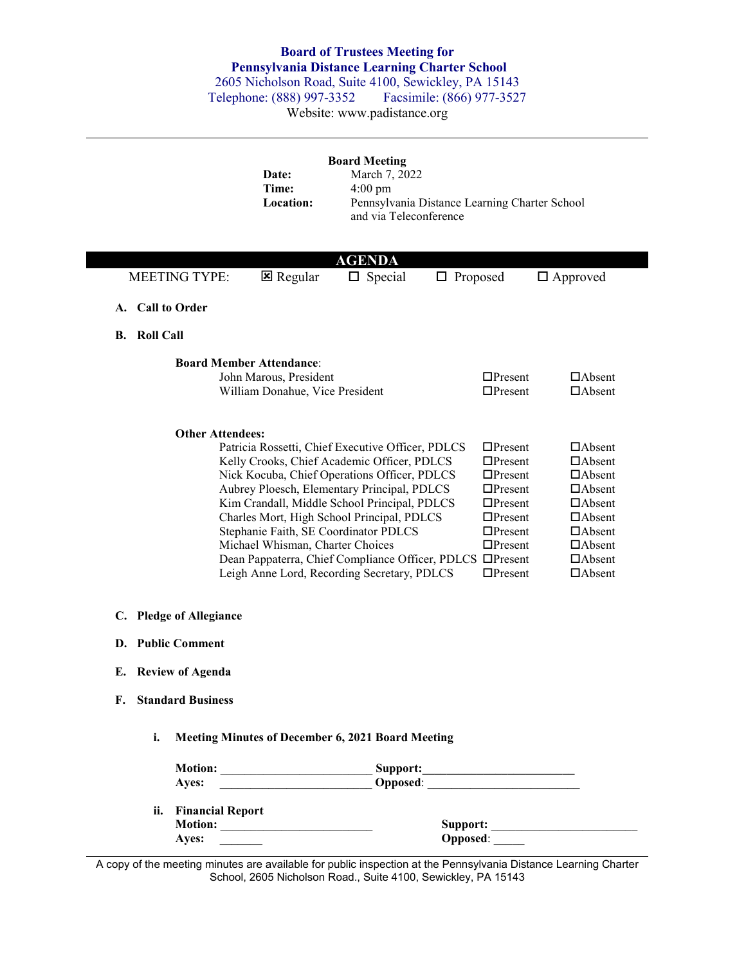## **Board of Trustees Meeting for Pennsylvania Distance Learning Charter School**

2605 Nicholson Road, Suite 4100, Sewickley, PA 15143<br>
Felephone: (888) 997-3352 Facsimile: (866) 977-3527 Telephone: (888) 997-3352

Website: www.padistance.org

|                                   | Date:<br>Time:<br>Location:                                                                  | <b>Board Meeting</b><br>March 7, 2022<br>$4:00 \text{ pm}$<br>and via Teleconference                                                                                                                                                                                                                                                                                                  | Pennsylvania Distance Learning Charter School                                                                                                                                                                               |                                                                                                                                                                        |
|-----------------------------------|----------------------------------------------------------------------------------------------|---------------------------------------------------------------------------------------------------------------------------------------------------------------------------------------------------------------------------------------------------------------------------------------------------------------------------------------------------------------------------------------|-----------------------------------------------------------------------------------------------------------------------------------------------------------------------------------------------------------------------------|------------------------------------------------------------------------------------------------------------------------------------------------------------------------|
|                                   |                                                                                              | <b>AGENDA</b>                                                                                                                                                                                                                                                                                                                                                                         |                                                                                                                                                                                                                             |                                                                                                                                                                        |
| <b>MEETING TYPE:</b>              | <b>E</b> Regular                                                                             | $\Box$ Special                                                                                                                                                                                                                                                                                                                                                                        | $\Box$ Proposed                                                                                                                                                                                                             | $\Box$ Approved                                                                                                                                                        |
| A. Call to Order                  |                                                                                              |                                                                                                                                                                                                                                                                                                                                                                                       |                                                                                                                                                                                                                             |                                                                                                                                                                        |
| <b>B.</b> Roll Call               |                                                                                              |                                                                                                                                                                                                                                                                                                                                                                                       |                                                                                                                                                                                                                             |                                                                                                                                                                        |
|                                   | <b>Board Member Attendance:</b><br>John Marous, President<br>William Donahue, Vice President |                                                                                                                                                                                                                                                                                                                                                                                       | $\Box$ Present<br>$\Box$ Present                                                                                                                                                                                            | $\Box$ Absent<br>$\Box$ Absent                                                                                                                                         |
| <b>Other Attendees:</b>           | Michael Whisman, Charter Choices                                                             | Patricia Rossetti, Chief Executive Officer, PDLCS<br>Kelly Crooks, Chief Academic Officer, PDLCS<br>Nick Kocuba, Chief Operations Officer, PDLCS<br>Aubrey Ploesch, Elementary Principal, PDLCS<br>Kim Crandall, Middle School Principal, PDLCS<br>Charles Mort, High School Principal, PDLCS<br>Stephanie Faith, SE Coordinator PDLCS<br>Leigh Anne Lord, Recording Secretary, PDLCS | $\Box$ Present<br>$\Box$ Present<br>$\Box$ Present<br>$\Box$ Present<br>$\Box$ Present<br>$\Box$ Present<br>$\Box$ Present<br>$\Box$ Present<br>Dean Pappaterra, Chief Compliance Officer, PDLCS □Present<br>$\Box$ Present | $\Box$ Absent<br>$\Box$ Absent<br>$\Box$ Absent<br>$\Box$ Absent<br>$\Box$ Absent<br>$\Box$ Absent<br>$\Box$ Absent<br>$\Box$ Absent<br>$\Box$ Absent<br>$\Box$ Absent |
| C.<br><b>Pledge of Allegiance</b> |                                                                                              |                                                                                                                                                                                                                                                                                                                                                                                       |                                                                                                                                                                                                                             |                                                                                                                                                                        |
| D. Public Comment                 |                                                                                              |                                                                                                                                                                                                                                                                                                                                                                                       |                                                                                                                                                                                                                             |                                                                                                                                                                        |
| E. Review of Agenda               |                                                                                              |                                                                                                                                                                                                                                                                                                                                                                                       |                                                                                                                                                                                                                             |                                                                                                                                                                        |
| <b>Standard Business</b><br>F.    |                                                                                              |                                                                                                                                                                                                                                                                                                                                                                                       |                                                                                                                                                                                                                             |                                                                                                                                                                        |
| i.                                |                                                                                              | Meeting Minutes of December 6, 2021 Board Meeting                                                                                                                                                                                                                                                                                                                                     |                                                                                                                                                                                                                             |                                                                                                                                                                        |
|                                   |                                                                                              |                                                                                                                                                                                                                                                                                                                                                                                       |                                                                                                                                                                                                                             |                                                                                                                                                                        |
| Ayes:                             |                                                                                              |                                                                                                                                                                                                                                                                                                                                                                                       |                                                                                                                                                                                                                             |                                                                                                                                                                        |
| ii. Financial Report              |                                                                                              |                                                                                                                                                                                                                                                                                                                                                                                       |                                                                                                                                                                                                                             |                                                                                                                                                                        |
|                                   |                                                                                              |                                                                                                                                                                                                                                                                                                                                                                                       | Opposed:                                                                                                                                                                                                                    |                                                                                                                                                                        |

A copy of the meeting minutes are available for public inspection at the Pennsylvania Distance Learning Charter School, 2605 Nicholson Road., Suite 4100, Sewickley, PA 15143